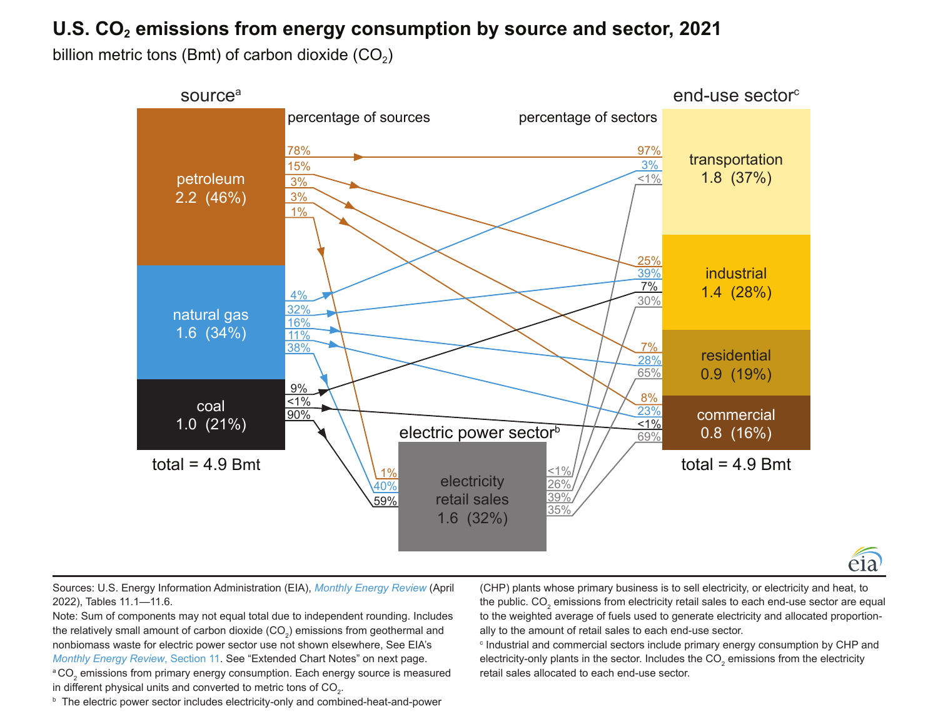# U.S. CO<sub>2</sub> emissions from energy consumption by source and sector, 2021

billion metric tons (Bmt) of carbon dioxide  $(CO<sub>2</sub>)$ 



Sources: U.S. Energy Information Administration (EIA), *[Monthly Energy Review](https://www.eia.gov/totalenergy/data/monthly/)* (April 2022), Tables 11.1—11.6.

Note: Sum of components may not equal total due to independent rounding. Includes the relatively small amount of carbon dioxide (CO<sub>2</sub>) emissions from geothermal and nonbiomass waste for electric power sector use not shown elsewhere, See EIA's *[Monthly Energy Review](https://www.eia.gov/totalenergy/data/monthly/#environment)*, Section 11. See "Extended Chart Notes" on next page.  $^{\circ}$ CO<sub>2</sub> emissions from primary energy consumption. Each energy source is measured in different physical units and converted to metric tons of  $\mathrm{CO}_{2}$ .

**b** The electric power sector includes electricity-only and combined-heat-and-power

(CHP) plants whose primary business is to sell electricity, or electricity and heat, to the public. CO<sub>2</sub> emissions from electricity retail sales to each end-use sector are equal to the weighted average of fuels used to generate electricity and allocated proportionally to the amount of retail sales to each end-use sector.

éia

c Industrial and commercial sectors include primary energy consumption by CHP and electricity-only plants in the sector. Includes the CO<sub>2</sub> emissions from the electricity retail sales allocated to each end-use sector.